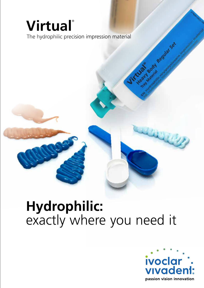# **Virtual**®

The hydrophilic precision impression material

# **Hydrophilic:** exactly where you need it



Booth Regular Sex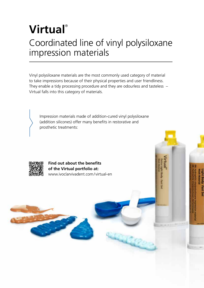## **Virtual**® Coordinated line of vinyl polysiloxane impression materials

Vinyl polysiloxane materials are the most commonly used category of material to take impressions because of their physical properties and user friendliness. They enable a tidy processing procedure and they are odourless and tasteless – Virtual falls into this category of materials.

Impression materials made of addition-cured vinyl polysiloxane (addition silicones) offer many benefits in restorative and prosthetic treatments:

Q.



**Find out about the benefits of the Virtual portfolio at:** www.ivoclarvivadent.com/ virtual-en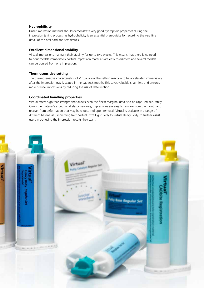#### **Hydrophilicity**

Unset impression material should demonstrate very good hydrophilic properties during the impression taking process, as hydrophylicity is an essential prerequisite for recording the very fine detail of the oral hard and soft tissues.

#### **Excellent dimensional stability**

Virtual impressions maintain their stability for up to two weeks. This means that there is no need to pour models immediately. Virtual impression materials are easy to disinfect and several models can be poured from one impression.

#### **Thermosensitive setting**

The thermosensitive characteristics of Virtual allow the setting reaction to be accelerated immediately after the impression tray is seated in the patient's mouth. This saves valuable chair time and ensures more precise impressions by reducing the risk of deformation.

#### **Coordinated handling properties**

Virtual offers high tear strength that allows even the finest marginal details to be captured accurately. Given the material's exceptional elastic recovery, impressions are easy to remove from the mouth and recover from deformation that may have occurred upon removal. Virtual is available in a range of different hardnesses, increasing from Virtual Extra Light Body to Virtual Heavy Body, to further assist users in achieving the impression results they want.

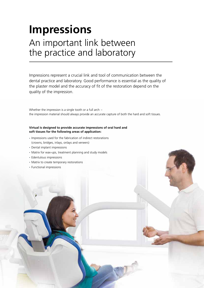## **Impressions** An important link between the practice and laboratory

Impressions represent a crucial link and tool of communication between the dental practice and laboratory. Good performance is essential as the quality of the plaster model and the accuracy of fit of the restoration depend on the quality of the impression.

Whether the impression is a single tooth or a full arch – the impression material should always provide an accurate capture of both the hard and soft tissues.

#### **Virtual is designed to provide accurate impressions of oral hard and soft tissues for the following areas of application:**

- Impressions used for the fabrication of indirect restorations (crowns, bridges, inlays, onlays and veneers)
- Dental implant impressions
- Matrix for wax-ups, treatment planning and study models
- Edentulous impressions
- Matrix to create temporary restorations
- Functional impressions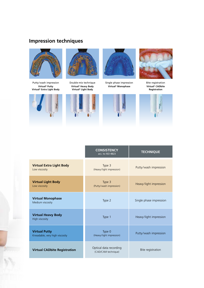### **Impression techniques**



Putty/wash impression **Virtual® Putty Virtual® Extra Light Body**



![](_page_4_Picture_4.jpeg)

Double-mix technique **Virtual® Heavy Body Virtual® Light Body**

![](_page_4_Picture_6.jpeg)

![](_page_4_Picture_7.jpeg)

Single phase impression **Virtual® Monophase**

![](_page_4_Picture_9.jpeg)

![](_page_4_Picture_10.jpeg)

|                                                        | <b>CONSISTENCY</b><br>acc. to ISO 4823        | <b>TECHNIQUE</b>        |  |
|--------------------------------------------------------|-----------------------------------------------|-------------------------|--|
| <b>Virtual Extra Light Body</b><br>Low viscosity       | Type 3<br>(Heavy/light impression)            | Putty/wash impression   |  |
| <b>Virtual Light Body</b><br>Low viscosity             | Type 3<br>(Putty/wash impression)             | Heavy/light impression  |  |
| <b>Virtual Monophase</b><br>Medium viscosity           | Type 2                                        | Single phase impression |  |
| <b>Virtual Heavy Body</b><br><b>High viscosity</b>     | Type 1                                        | Heavy/light impression  |  |
| <b>Virtual Putty</b><br>Kneadable, very high viscosity | Type 0<br>(Heavy/light impression)            | Putty/wash impression   |  |
| <b>Virtual CADbite Registration</b>                    | Optical data recording<br>(CAD/CAM technique) | Bite registration       |  |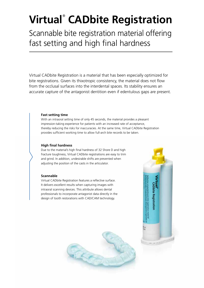## **Virtual**®  **CADbite Registration**

Scannable bite registration material offering fast setting and high final hardness

Virtual CADbite Registration is a material that has been especially optimized for bite registrations. Given its thixotropic consistency, the material does not flow from the occlusal surfaces into the interdental spaces. Its stability ensures an accurate capture of the antagonist dentition even if edentulous gaps are present.

#### **Fast setting time**

With an intraoral setting time of only 45 seconds, the material provides a pleasant impression-taking experience for patients with an increased rate of acceptance, thereby reducing the risks for inaccuracies. At the same time, Virtual CADbite Registration provides sufficient working time to allow full-arch bite records to be taken.

#### **High final hardness**

Due to the material's high final hardness of 32 Shore D and high fracture toughness, Virtual CADbite registrations are easy to trim and grind. In addition, undesirable shifts are prevented when adjusting the position of the casts in the articulator.

#### **Scannable**

Virtual CADbite Registration features a reflective surface. It delivers excellent results when capturing images with intraoral scanning devices. This attribute allows dental professionals to incorporate antagonist data directly in the design of tooth restorations with CAD/CAM technology.

![](_page_5_Picture_9.jpeg)

![](_page_5_Picture_10.jpeg)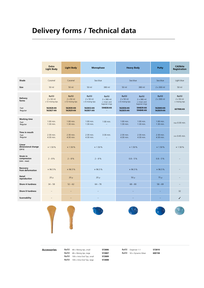### **Delivery forms / Technical data**

|                                             | <b>Extra</b><br><b>Light Body</b>                                         | <b>Light Body</b>                                                         | <b>Monophase</b>                                                                                                                                    | <b>Heavy Body</b>                                                                                                                                                  | Putty                                                 | <b>CADbite</b><br><b>Registration</b>                    |
|---------------------------------------------|---------------------------------------------------------------------------|---------------------------------------------------------------------------|-----------------------------------------------------------------------------------------------------------------------------------------------------|--------------------------------------------------------------------------------------------------------------------------------------------------------------------|-------------------------------------------------------|----------------------------------------------------------|
|                                             |                                                                           |                                                                           |                                                                                                                                                     |                                                                                                                                                                    |                                                       |                                                          |
| Shade                                       | Caramel                                                                   | Caramel                                                                   | Sea blue                                                                                                                                            | Sea blue                                                                                                                                                           | Sea blue                                              | Light blue                                               |
| Size                                        | 50 ml                                                                     | 50 ml                                                                     | 50 ml<br>380 ml                                                                                                                                     | 50 ml<br>380 ml                                                                                                                                                    | 2 x 300 ml                                            | 50 ml                                                    |
| <b>Delivery</b><br>forms<br>Fast<br>Regular | Refill<br>$2 \times 50$ ml<br>$+12$ mixing tips<br>562828 AN<br>562827 AN | Refill<br>$2 \times 50$ ml<br>$+12$ mixing tips<br>562830 AN<br>562829 AN | Refill<br>Refill<br>$2 \times 50$ ml<br>$2 \times 380$ ml<br>$+6$ mixing tips<br>+ mixer and<br>bajonet rings<br>594838 AN<br>562832 AN<br>562831AN | Refill<br>Refill<br>$2 \times 50$ ml<br>$2 \times 380$ ml<br>$+ 6$ mixing tips<br>+ mixer and<br>bajonet rings<br>594839 AN<br>562836 AN<br>594840 AN<br>562835 AN | Refill<br>$2 \times 300$ ml<br>562840 AN<br>562839 AN | Refill<br>$2 \times 50$ ml<br>+ mixing tips<br>607908 AN |
| <b>Working time</b><br>Fast<br>Regular      | 1:00 min.<br>1:30 min.                                                    | $1:00$ min.<br>1:30 min.                                                  | $1:00$ min.<br>$1:00$ min.<br>1:30 min.                                                                                                             | $1:00$ min.<br>$1:00$ min.<br>1:30 min.<br>1:30 min.                                                                                                               | $1:00$ min.<br>1:30 min.                              | max 0:30 min.                                            |
| Time in mouth<br>Fast<br>Regular            | 2:30 min.<br>4:30 min.                                                    | 2:30 min.<br>4:30 min.                                                    | 2:30 min.<br>3:30 min.<br>4:30 min.                                                                                                                 | 2:30 min.<br>2:30 min.<br>4:30 min.<br>4:30 min.                                                                                                                   | 2:30 min.<br>4:30 min.                                | min 0:45 min.                                            |
| Linear<br>dimensional change<br>(24h)       | $\leq 1.50\%$                                                             | $\leq 1.50\%$                                                             | $\leq 1.50\%$                                                                                                                                       | $\leq 1.50\%$                                                                                                                                                      | $\leq 1.50\%$                                         | $\leq 1.50\%$                                            |
| Strain in<br>compression<br>$(min - max)$   | $2 - 8%$                                                                  | $2 - 8%$                                                                  | $2 - 8%$                                                                                                                                            | $0.8 - 5%$                                                                                                                                                         | $0.8 - 5%$                                            |                                                          |
| Recovery<br>from deformation                | $\geq 96.5\%$                                                             | $\geq 96.5\%$                                                             | $\geq 96.5\%$                                                                                                                                       | $\geq 96.5\%$                                                                                                                                                      | $\geq 96.5\%$                                         |                                                          |
| <b>Detail</b><br>reproduction               | $20 \mu$                                                                  | $20 \mu$                                                                  | $20 \mu$                                                                                                                                            | $50 \mu$                                                                                                                                                           | $75 \mu$                                              | $\qquad \qquad -$                                        |
| <b>Shore A hardness</b>                     | $34 - 58$                                                                 | $52 - 62$                                                                 | $64 - 78$                                                                                                                                           | $68 - 80$                                                                                                                                                          | $58 - 69$                                             | $\equiv$                                                 |
| <b>Shore D hardness</b>                     | $\qquad \qquad -$                                                         | -                                                                         |                                                                                                                                                     |                                                                                                                                                                    |                                                       | 32                                                       |
| Scannability                                | $\overline{\phantom{0}}$                                                  | $\equiv$                                                                  |                                                                                                                                                     |                                                                                                                                                                    |                                                       | ✓                                                        |

![](_page_6_Picture_3.jpeg)

![](_page_6_Picture_4.jpeg)

![](_page_6_Picture_5.jpeg)

**Accessories** Refill 48 x Mixing tips, small **572806**<br>Refill 48 x Mixing tips, large **572807** Refill 48 x Mixing tips, large Refill 100 x Intra Oral Tips, small **572809** Refill 100 x Intra Oral Tips, large **572808**

Refill Dispenser 1:1 **572810** Refill 50 x Dynamic Mixer **600158**